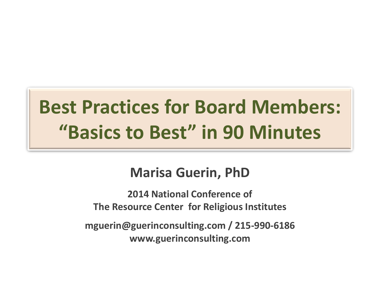# **Best Practices for Board Members: "Basics to Best" in 90 Minutes**

#### **Marisa Guerin, PhD**

**2014 National Conference of The Resource Center for Religious Institutes**

**mguerin@guerinconsulting.com / 215-990-6186 www.guerinconsulting.com**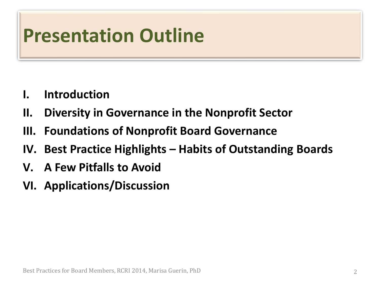### **Presentation Outline**

- **I. Introduction**
- **II. Diversity in Governance in the Nonprofit Sector**
- **III. Foundations of Nonprofit Board Governance**
- **IV. Best Practice Highlights – Habits of Outstanding Boards**
- **V. A Few Pitfalls to Avoid**
- **VI. Applications/Discussion**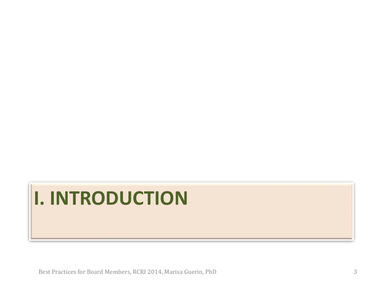# **I. INTRODUCTION**

Best Practices for Board Members, RCRI 2014, Marisa Guerin, PhD 3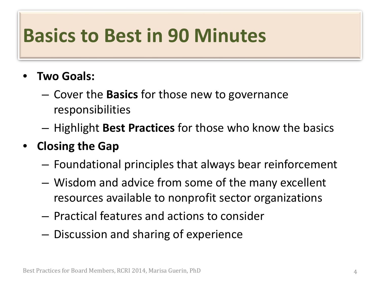#### **Basics to Best in 90 Minutes**

- **Two Goals:**
	- Cover the **Basics** for those new to governance responsibilities
	- Highlight **Best Practices** for those who know the basics
- **Closing the Gap**
	- Foundational principles that always bear reinforcement
	- Wisdom and advice from some of the many excellent resources available to nonprofit sector organizations
	- Practical features and actions to consider
	- Discussion and sharing of experience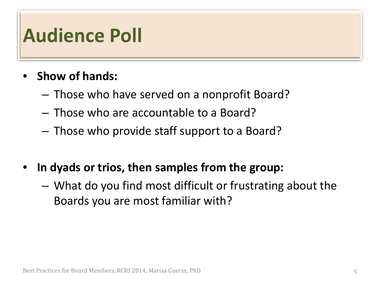#### **Audience Poll**

- **Show of hands:**
	- Those who have served on a nonprofit Board?
	- Those who are accountable to a Board?
	- Those who provide staff support to a Board?
- **In dyads or trios, then samples from the group:** 
	- What do you find most difficult or frustrating about the Boards you are most familiar with?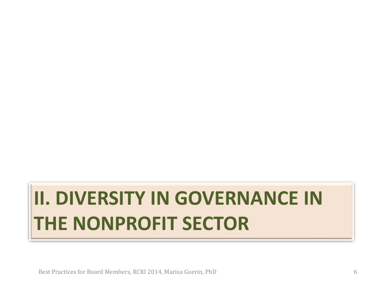# **II. DIVERSITY IN GOVERNANCE IN THE NONPROFIT SECTOR**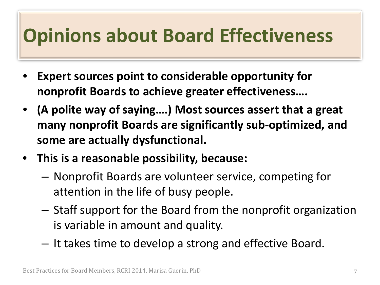#### **Opinions about Board Effectiveness**

- **Expert sources point to considerable opportunity for nonprofit Boards to achieve greater effectiveness….**
- **(A polite way of saying….) Most sources assert that a great many nonprofit Boards are significantly sub-optimized, and some are actually dysfunctional.**
- **This is a reasonable possibility, because:**
	- Nonprofit Boards are volunteer service, competing for attention in the life of busy people.
	- Staff support for the Board from the nonprofit organization is variable in amount and quality.
	- It takes time to develop a strong and effective Board.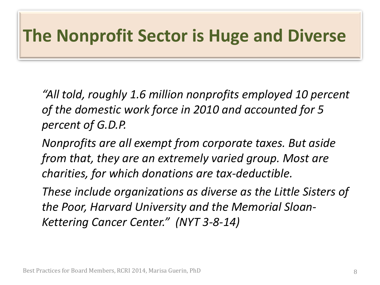#### **The Nonprofit Sector is Huge and Diverse**

*"All told, roughly 1.6 million nonprofits employed 10 percent of the domestic work force in 2010 and accounted for 5 percent of G.D.P.* 

*Nonprofits are all exempt from corporate taxes. But aside from that, they are an extremely varied group. Most are charities, for which donations are tax-deductible.* 

*These include organizations as diverse as the Little Sisters of the Poor, Harvard University and the Memorial Sloan-Kettering Cancer Center." (NYT 3-8-14)*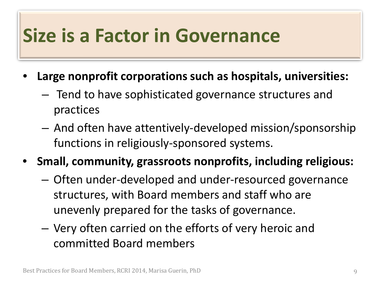#### **Size is a Factor in Governance**

- **Large nonprofit corporations such as hospitals, universities:**
	- Tend to have sophisticated governance structures and practices
	- And often have attentively-developed mission/sponsorship functions in religiously-sponsored systems.
- **Small, community, grassroots nonprofits, including religious:**
	- Often under-developed and under-resourced governance structures, with Board members and staff who are unevenly prepared for the tasks of governance.
	- Very often carried on the efforts of very heroic and committed Board members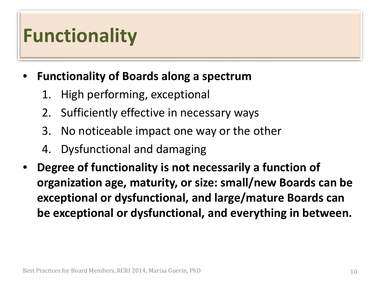#### **Functionality**

#### • **Functionality of Boards along a spectrum**

- 1. High performing, exceptional
- 2. Sufficiently effective in necessary ways
- 3. No noticeable impact one way or the other
- 4. Dysfunctional and damaging
- **Degree of functionality is not necessarily a function of organization age, maturity, or size: small/new Boards can be exceptional or dysfunctional, and large/mature Boards can be exceptional or dysfunctional, and everything in between.**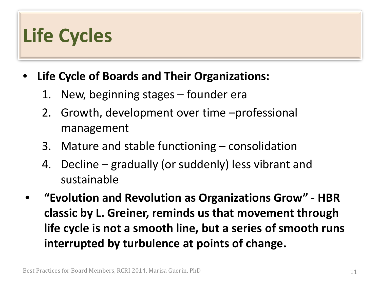### **Life Cycles**

#### • **Life Cycle of Boards and Their Organizations:**

- 1. New, beginning stages founder era
- 2. Growth, development over time –professional management
- 3. Mature and stable functioning consolidation
- 4. Decline gradually (or suddenly) less vibrant and sustainable
- **"Evolution and Revolution as Organizations Grow" - HBR classic by L. Greiner, reminds us that movement through life cycle is not a smooth line, but a series of smooth runs interrupted by turbulence at points of change.**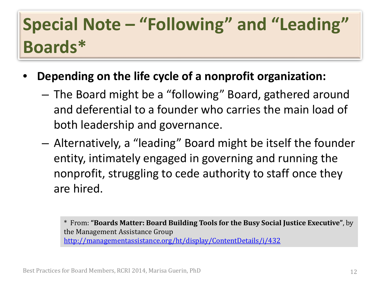#### **Special Note – "Following" and "Leading" Boards\***

- **Depending on the life cycle of a nonprofit organization:**
	- The Board might be a "following" Board, gathered around and deferential to a founder who carries the main load of both leadership and governance.
	- Alternatively, a "leading" Board might be itself the founder entity, intimately engaged in governing and running the nonprofit, struggling to cede authority to staff once they are hired.

\* From: **"Boards Matter: Board Building Tools for the Busy Social Justice Executive"**, by the Management Assistance Group <http://managementassistance.org/ht/display/ContentDetails/i/432>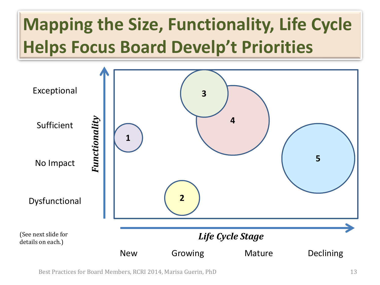### **Mapping the Size, Functionality, Life Cycle Helps Focus Board Develp't Priorities**



Best Practices for Board Members, RCRI 2014, Marisa Guerin, PhD 13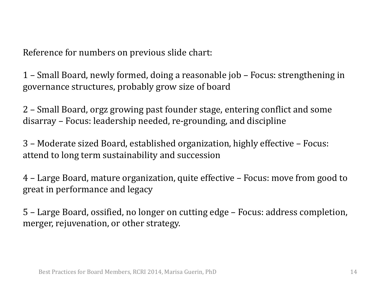Reference for numbers on previous slide chart:

1 – Small Board, newly formed, doing a reasonable job – Focus: strengthening in governance structures, probably grow size of board

2 – Small Board, orgz growing past founder stage, entering conflict and some disarray – Focus: leadership needed, re-grounding, and discipline

3 – Moderate sized Board, established organization, highly effective – Focus: attend to long term sustainability and succession

4 – Large Board, mature organization, quite effective – Focus: move from good to great in performance and legacy

5 – Large Board, ossified, no longer on cutting edge – Focus: address completion, merger, rejuvenation, or other strategy.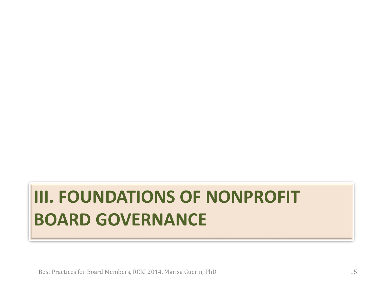#### **III. FOUNDATIONS OF NONPROFIT BOARD GOVERNANCE**

Best Practices for Board Members, RCRI 2014, Marisa Guerin, PhD 15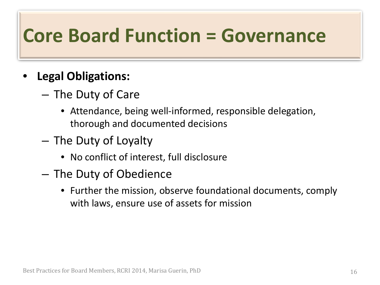#### **Core Board Function = Governance**

#### • **Legal Obligations:**

- The Duty of Care
	- Attendance, being well-informed, responsible delegation, thorough and documented decisions
- The Duty of Loyalty
	- No conflict of interest, full disclosure
- The Duty of Obedience
	- Further the mission, observe foundational documents, comply with laws, ensure use of assets for mission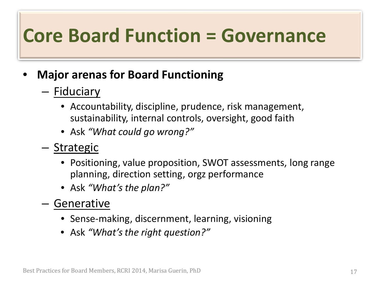### **Core Board Function = Governance**

#### • **Major arenas for Board Functioning**

- Fiduciary
	- Accountability, discipline, prudence, risk management, sustainability, internal controls, oversight, good faith
	- Ask *"What could go wrong?"*
- Strategic
	- Positioning, value proposition, SWOT assessments, long range planning, direction setting, orgz performance
	- Ask *"What's the plan?"*
- Generative
	- Sense-making, discernment, learning, visioning
	- Ask *"What's the right question?"*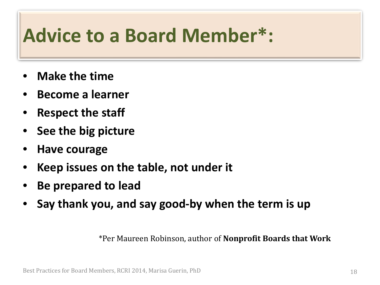#### **Advice to a Board Member\*:**

- **Make the time**
- **Become a learner**
- **Respect the staff**
- **See the big picture**
- **Have courage**
- **Keep issues on the table, not under it**
- **Be prepared to lead**
- **Say thank you, and say good-by when the term is up**

\*Per Maureen Robinson, author of **Nonprofit Boards that Work**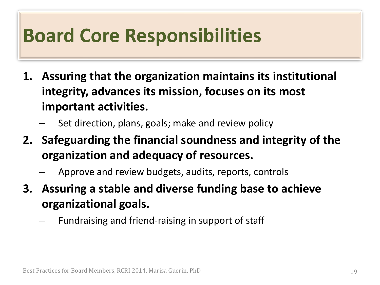#### **Board Core Responsibilities**

- **1. Assuring that the organization maintains its institutional integrity, advances its mission, focuses on its most important activities.**
	- Set direction, plans, goals; make and review policy
- **2. Safeguarding the financial soundness and integrity of the organization and adequacy of resources.**
	- Approve and review budgets, audits, reports, controls
- **3. Assuring a stable and diverse funding base to achieve organizational goals.**
	- Fundraising and friend-raising in support of staff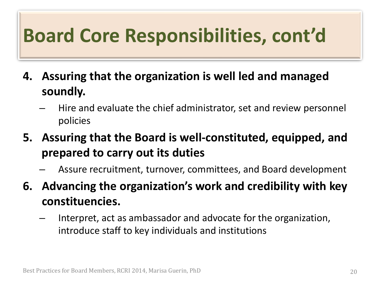# **Board Core Responsibilities, cont'd**

- **4. Assuring that the organization is well led and managed soundly.**
	- Hire and evaluate the chief administrator, set and review personnel policies
- **5. Assuring that the Board is well-constituted, equipped, and prepared to carry out its duties**
	- Assure recruitment, turnover, committees, and Board development
- **6. Advancing the organization's work and credibility with key constituencies.**
	- Interpret, act as ambassador and advocate for the organization, introduce staff to key individuals and institutions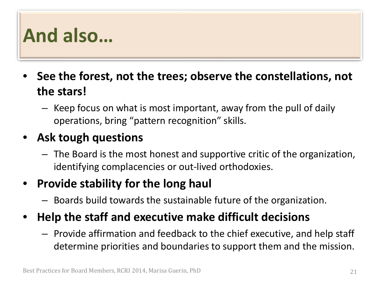#### **And also…**

- **See the forest, not the trees; observe the constellations, not the stars!**
	- Keep focus on what is most important, away from the pull of daily operations, bring "pattern recognition" skills.

#### • **Ask tough questions**

– The Board is the most honest and supportive critic of the organization, identifying complacencies or out-lived orthodoxies.

#### • **Provide stability for the long haul**

- Boards build towards the sustainable future of the organization.
- **Help the staff and executive make difficult decisions**
	- Provide affirmation and feedback to the chief executive, and help staff determine priorities and boundaries to support them and the mission.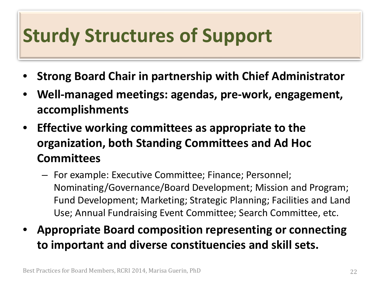### **Sturdy Structures of Support**

- **Strong Board Chair in partnership with Chief Administrator**
- **Well-managed meetings: agendas, pre-work, engagement, accomplishments**
- **Effective working committees as appropriate to the organization, both Standing Committees and Ad Hoc Committees**
	- For example: Executive Committee; Finance; Personnel; Nominating/Governance/Board Development; Mission and Program; Fund Development; Marketing; Strategic Planning; Facilities and Land Use; Annual Fundraising Event Committee; Search Committee, etc.
- **Appropriate Board composition representing or connecting to important and diverse constituencies and skill sets.**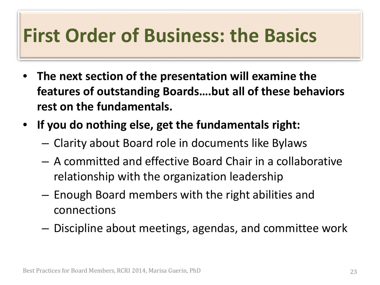#### **First Order of Business: the Basics**

- **The next section of the presentation will examine the features of outstanding Boards….but all of these behaviors rest on the fundamentals.**
- **If you do nothing else, get the fundamentals right:**
	- Clarity about Board role in documents like Bylaws
	- A committed and effective Board Chair in a collaborative relationship with the organization leadership
	- Enough Board members with the right abilities and connections
	- Discipline about meetings, agendas, and committee work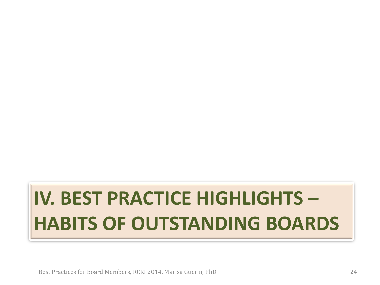# **IV. BEST PRACTICE HIGHLIGHTS – HABITS OF OUTSTANDING BOARDS**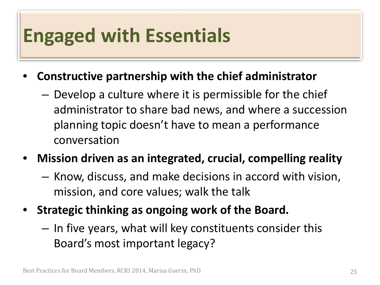#### **Engaged with Essentials**

- **Constructive partnership with the chief administrator**
	- Develop a culture where it is permissible for the chief administrator to share bad news, and where a succession planning topic doesn't have to mean a performance conversation
- **Mission driven as an integrated, crucial, compelling reality**
	- Know, discuss, and make decisions in accord with vision, mission, and core values; walk the talk
- **Strategic thinking as ongoing work of the Board.**
	- In five years, what will key constituents consider this Board's most important legacy?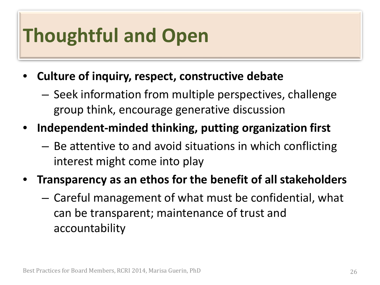# **Thoughtful and Open**

- **Culture of inquiry, respect, constructive debate**
	- Seek information from multiple perspectives, challenge group think, encourage generative discussion
- **Independent-minded thinking, putting organization first**
	- Be attentive to and avoid situations in which conflicting interest might come into play
- **Transparency as an ethos for the benefit of all stakeholders**
	- Careful management of what must be confidential, what can be transparent; maintenance of trust and accountability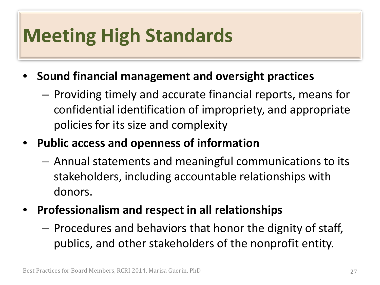### **Meeting High Standards**

- **Sound financial management and oversight practices**
	- Providing timely and accurate financial reports, means for confidential identification of impropriety, and appropriate policies for its size and complexity
- **Public access and openness of information**
	- Annual statements and meaningful communications to its stakeholders, including accountable relationships with donors.
- **Professionalism and respect in all relationships**
	- Procedures and behaviors that honor the dignity of staff, publics, and other stakeholders of the nonprofit entity.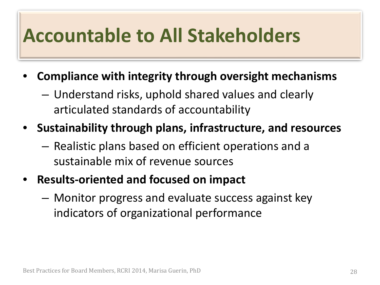#### **Accountable to All Stakeholders**

- **Compliance with integrity through oversight mechanisms**
	- Understand risks, uphold shared values and clearly articulated standards of accountability
- **Sustainability through plans, infrastructure, and resources**
	- Realistic plans based on efficient operations and a sustainable mix of revenue sources
- **Results-oriented and focused on impact**
	- Monitor progress and evaluate success against key indicators of organizational performance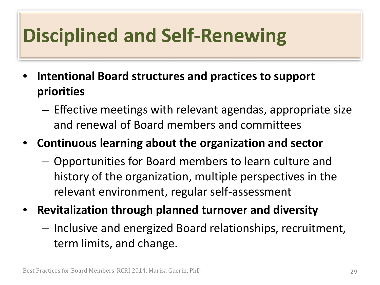# **Disciplined and Self-Renewing**

- **Intentional Board structures and practices to support priorities**
	- Effective meetings with relevant agendas, appropriate size and renewal of Board members and committees
- **Continuous learning about the organization and sector**
	- Opportunities for Board members to learn culture and history of the organization, multiple perspectives in the relevant environment, regular self-assessment
- **Revitalization through planned turnover and diversity**
	- Inclusive and energized Board relationships, recruitment, term limits, and change.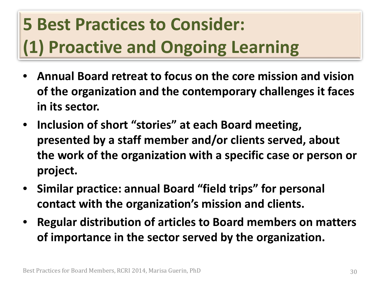### **5 Best Practices to Consider: (1) Proactive and Ongoing Learning**

- **Annual Board retreat to focus on the core mission and vision of the organization and the contemporary challenges it faces in its sector.**
- **Inclusion of short "stories" at each Board meeting, presented by a staff member and/or clients served, about the work of the organization with a specific case or person or project.**
- **Similar practice: annual Board "field trips" for personal contact with the organization's mission and clients.**
- **Regular distribution of articles to Board members on matters of importance in the sector served by the organization.**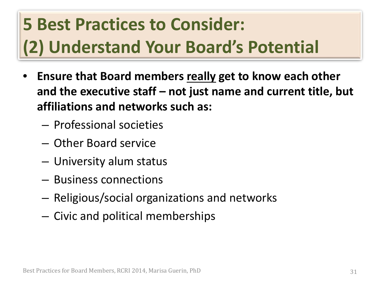### **5 Best Practices to Consider: (2) Understand Your Board's Potential**

- **Ensure that Board members really get to know each other and the executive staff – not just name and current title, but affiliations and networks such as:**
	- Professional societies
	- Other Board service
	- University alum status
	- Business connections
	- Religious/social organizations and networks
	- Civic and political memberships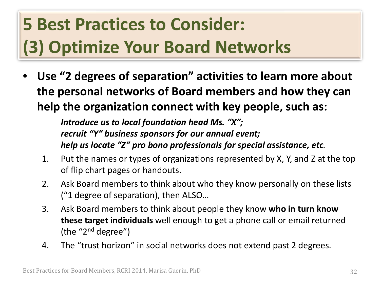#### **5 Best Practices to Consider: (3) Optimize Your Board Networks**

• **Use "2 degrees of separation" activities to learn more about the personal networks of Board members and how they can help the organization connect with key people, such as:**

> *Introduce us to local foundation head Ms. "X"; recruit "Y" business sponsors for our annual event; help us locate "Z" pro bono professionals for special assistance, etc.*

- 1. Put the names or types of organizations represented by X, Y, and Z at the top of flip chart pages or handouts.
- 2. Ask Board members to think about who they know personally on these lists ("1 degree of separation), then ALSO…
- 3. Ask Board members to think about people they know **who in turn know these target individuals** well enough to get a phone call or email returned (the " $2<sup>nd</sup>$  degree")
- 4. The "trust horizon" in social networks does not extend past 2 degrees.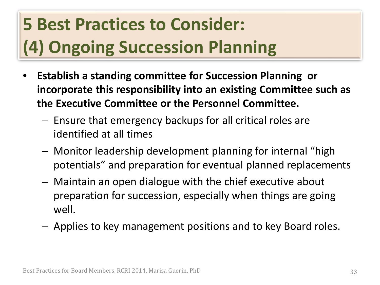### **5 Best Practices to Consider: (4) Ongoing Succession Planning**

- **Establish a standing committee for Succession Planning or incorporate this responsibility into an existing Committee such as the Executive Committee or the Personnel Committee.**
	- Ensure that emergency backups for all critical roles are identified at all times
	- Monitor leadership development planning for internal "high potentials" and preparation for eventual planned replacements
	- Maintain an open dialogue with the chief executive about preparation for succession, especially when things are going well.
	- Applies to key management positions and to key Board roles.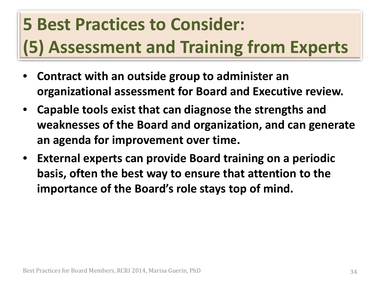# **5 Best Practices to Consider: (5) Assessment and Training from Experts**

- **Contract with an outside group to administer an organizational assessment for Board and Executive review.**
- **Capable tools exist that can diagnose the strengths and weaknesses of the Board and organization, and can generate an agenda for improvement over time.**
- **External experts can provide Board training on a periodic basis, often the best way to ensure that attention to the importance of the Board's role stays top of mind.**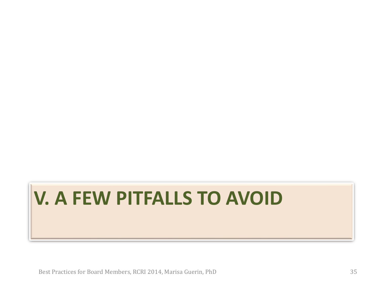# **V. A FEW PITFALLS TO AVOID**

Best Practices for Board Members, RCRI 2014, Marisa Guerin, PhD 35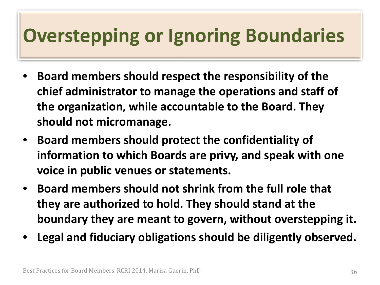### **Overstepping or Ignoring Boundaries**

- **Board members should respect the responsibility of the chief administrator to manage the operations and staff of the organization, while accountable to the Board. They should not micromanage.**
- **Board members should protect the confidentiality of information to which Boards are privy, and speak with one voice in public venues or statements.**
- **Board members should not shrink from the full role that they are authorized to hold. They should stand at the boundary they are meant to govern, without overstepping it.**
- **Legal and fiduciary obligations should be diligently observed.**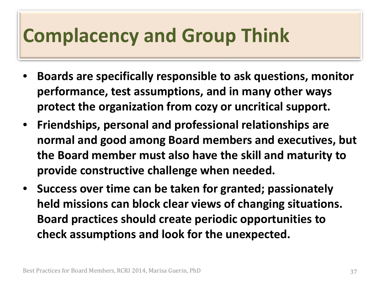### **Complacency and Group Think**

- **Boards are specifically responsible to ask questions, monitor performance, test assumptions, and in many other ways protect the organization from cozy or uncritical support.**
- **Friendships, personal and professional relationships are normal and good among Board members and executives, but the Board member must also have the skill and maturity to provide constructive challenge when needed.**
- **Success over time can be taken for granted; passionately held missions can block clear views of changing situations. Board practices should create periodic opportunities to check assumptions and look for the unexpected.**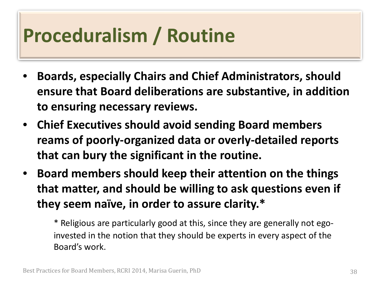### **Proceduralism / Routine**

- **Boards, especially Chairs and Chief Administrators, should ensure that Board deliberations are substantive, in addition to ensuring necessary reviews.**
- **Chief Executives should avoid sending Board members reams of poorly-organized data or overly-detailed reports that can bury the significant in the routine.**
- **Board members should keep their attention on the things that matter, and should be willing to ask questions even if they seem naïve, in order to assure clarity.\***

\* Religious are particularly good at this, since they are generally not egoinvested in the notion that they should be experts in every aspect of the Board's work.